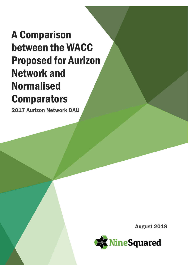# A Comparison between the WACC Proposed for Aurizon Network and Normalised **Comparators**

2017 Aurizon Network DAU

August 2018

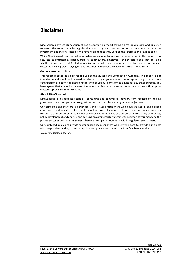# **Disclaimer**

Nine-Squared Pty Ltd (NineSquared) has prepared this report taking all reasonable care and diligence required. This report provides high-level analysis only and does not purport to be advice on particular investment options or strategies. We have not independently verified the information provided to us.

While NineSquared has used all reasonable endeavours to ensure the information in this report is as accurate as practicable, NineSquared, its contributors, employees, and Directors shall not be liable whether in contract, tort (including negligence), equity or on any other basis for any loss or damage sustained by any person relying on this document whatever the cause of such loss or damage.

### **General use restriction**

This report is prepared solely for the use of the Queensland Competition Authority. This report is not intended to and should not be used or relied upon by anyone else and we accept no duty of care to any other person or entity. You should not refer to or use our name or the advice for any other purpose. You have agreed that you will not amend the report or distribute the report to outside parties without prior written approval from NineSquared.

### **About NineSquared**

NineSquared is a specialist economic consulting and commercial advisory firm focused on helping governments and companies make great decisions and achieve your goals and objectives.

Our principals and staff are experienced, senior level practitioners who have worked in and advised government and private sector clients about a range of commercial and economic issues, primarily relating to transportation. Broadly, our expertise lies in the fields of transport and regulatory economics, policy development and analysis and advising on commercial arrangements between government and the private sector as well as arrangements between companies operating within regulated environments.

Our combined public and private sector experience means that we are well placed to provide our clients with deep understanding of both the public and private sectors and the interface between them.

*[www.ninesquared.com.au](http://www.ninesquared.com.au/)*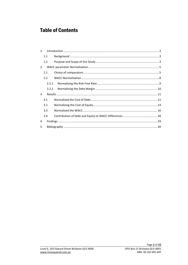# **Table of Contents**

| $1_{-}$ |       |  |
|---------|-------|--|
|         | 1.1   |  |
|         | 1.2   |  |
| 2.      |       |  |
|         | 2.1   |  |
|         | 2.2   |  |
|         | 2.2.1 |  |
|         | 2.2.2 |  |
| 3.      |       |  |
|         | 3.1   |  |
|         | 3.2   |  |
|         | 3.3   |  |
|         | 3.4   |  |
| 4.      |       |  |
| 5.      |       |  |
|         |       |  |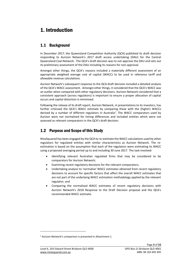# <span id="page-3-0"></span>1. Introduction

### <span id="page-3-1"></span>1.1 Background

In December 2017, the Queensland Competition Authority (QCA) published its draft decision responding to Aurizon Network's 2017 draft access undertaking (DAU) for the Central Queensland Coal Network. The QCA's draft decision was to not approve the DAU and sets out its preliminary assessment of the DAU including its reasons for non-approval.

Amongst other things, the QCA's reasons included a materially different assessment of an appropriate weighted average cost of capital (WACC) to be used in reference tariff and allowable revenue calculations.

Aurizon Network's subsequent response to the QCA draft decision included a detailed analysis of the QCA's WACC assessment. Amongst other things, it considered that the QCA's WACC was an outlier when compared with other regulatory decisions. Aurizon Network considered that a consistent approach (across regulators) is important to ensure a proper allocation of capital occurs and capital distortion is minimised.

Following the release of its draft report, Aurizon Network, in presentations to its investors, has further criticised the QCA's WACC estimate by comparing these with the (higher) WACCs derived by a number of different regulators in Australia<sup>1</sup>. The WACC comparators used by Aurizon were not normalised for timing differences and included entities which were not assessed as relevant comparators in the QCA's draft decision.

### <span id="page-3-2"></span>1.2 Purpose and Scope of this Study

NineSquared has been engaged by the QCA to re-estimate the WACC calculations used by other regulators for regulated entities with similar characteristics as Aurizon Network. The reestimation is based on the assumption that each of the regulators were estimating its WACC using a proposed averaging period up to and including 30 June 2017. The task involved:

- Identifying relevant Australian regulated firms that may be considered to be comparators for Aurizon Network;
- Examining recent regulatory decisions for the relevant comparators;
- Undertaking analysis to 'normalise' WACC estimates obtained from recent regulatory decisions to account for specific factors that affect the overall WACC estimates that are not part of the underlying WACC estimation methodology applied by the relevant regulator; and
- Comparing the normalised WACC estimates of recent regulatory decisions with Aurizon Network's 2018 Response to the Draft Decision proposal and the QCA's recommended WACC estimate.

1

<sup>1</sup> Aurizon Network's comparison is presented in Attachment 1.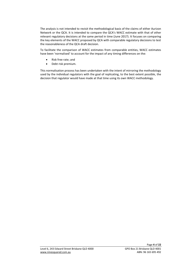The analysis is not intended to revisit the methodological basis of the claims of either Aurizon Network or the QCA. It is intended to compare the QCA's WACC estimate with that of other relevant regulatory decisions at the same period in time (June 2017). It focuses on comparing the key elements of the WACC proposed by QCA with comparable regulatory decisions to test the reasonableness of the QCA draft decision.

To facilitate the comparison of WACC estimates from comparable entities, WACC estimates have been 'normalised' to account for the impact of any timing differences on the:

- Risk free rate; and
- Debt risk premium.

This normalisation process has been undertaken with the intent of mirroring the methodology used by the individual regulators with the goal of replicating, to the best extent possible, the decision that regulator would have made at that time using its own WACC methodology.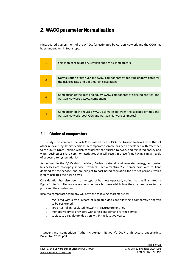# <span id="page-5-0"></span>2. WACC parameter Normalisation

NineSquared's assessment of the WACCs (as estimated by Aurizon Network and the QCA) has been undertaken in four steps.



# <span id="page-5-1"></span>2.1 Choice of comparators

This study is to compare the WACC estimated by the QCA for Aurizon Network with that of other relevant regulatory decisions. A comparator sample has been developed with reference to the QCA's Draft Decision which considered that Aurizon Network and regulated energy and water businesses share common attributes that will result in these firms having similar levels of exposure to systematic risk<sup>2</sup>.

As outlined in the QCA's draft decision, Aurizon Network and regulated energy and water businesses are monopoly service providers, have a 'captured' customer base with resilient demand for the service, and are subject to cost-based regulation for pre-set periods, which largely insulates their cash flows.

Consideration has also been to the type of business operated, noting that, as illustrated in [Figure 1,](#page-6-0) Aurizon Network operates a network business which links the coal producers to the ports and their customers.

Ideally a comparator company will have the following characteristics:

- regulated with a track record of regulated decisions allowing a comparative analysis to be performed
- large Australian regulated network infrastructure entities
- monopoly service providers with a resilient demand for the service
- subject to a regulatory decision within the last two years.

1

 $2$  Queensland Competition Authority, Aurizon Network's 2017 draft access undertaking, December 2017, p88.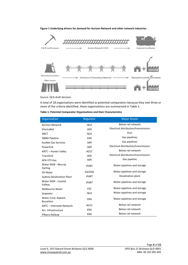### <span id="page-6-0"></span>**Figure 1 Underlying drivers for demand for Aurizon Network and other network industries**



Source: QCA draft decision.

A total of 18 organisations were identified as potential comparators because they met three or more of the criteria identified, these organisations are summarised in [Table 1.](#page-6-1)

### <span id="page-6-1"></span>**Table 1: Potential Comparator Organisations and their Characteristics**

| Organisation                            | Regulator     | <b>Major Assets</b>                  |
|-----------------------------------------|---------------|--------------------------------------|
| <b>Aurizon Network</b>                  | <b>QCA</b>    | Below rail network                   |
| ElectraNet                              | <b>AER</b>    | Electrical distribution/transmission |
| <b>DBCT</b>                             | <b>QCA</b>    | Port                                 |
| <b>DBNG Pipeline</b>                    | <b>ERA</b>    | Gas pipelines                        |
| <b>AusNet Gas Services</b>              | <b>AER</b>    | Gas pipelines                        |
| Powerlink                               | <b>AER</b>    | Electrical distribution/transmission |
| ARTC - Hunter Valley                    | <b>ACCC</b>   | Below rail network                   |
| <b>TransGrid</b>                        | <b>AER</b>    | Electrical distribution/transmission |
| <b>APA VTS Gas</b>                      | <b>AER</b>    | Gas pipeline                         |
| Water NSW - Murray<br>Darling           | <b>IPART</b>  | Water pipelines and storage          |
| <b>SA Water</b>                         | <b>ESCOSA</b> | Water pipelines and storage          |
| <b>Sydney Desalination Plant</b>        | <b>IPART</b>  | Desalination plant                   |
| Water NSW - Coastal<br>Valleys          | <b>IPART</b>  | Water pipelines and storage          |
| Melbourne Water                         | <b>ESC</b>    | Water pipelines and storage          |
| Seqwater                                | <b>QCA</b>    | Water pipelines and storage          |
| Water Corp, Agwest,<br><b>Busselton</b> | <b>ERA</b>    | Water pipelines and storage          |
| ARTC - Interstate Network               | <b>ACCC</b>   | Below rail network                   |
| Arc. Infrastructure                     | <b>ERA</b>    | Below rail network                   |
| Pilbara Railway                         | <b>ERA</b>    | <b>Below rail network</b>            |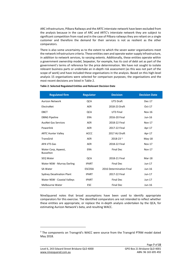ARC infrastructure, Pilbara Railways and the ARTC interstate network have been excluded from the analysis because in the case of ARC and ARTC's interstate network they are subject to significant competition from road and in the case of Pilbara railways they are reliant on a single customer and therefore the demand for their services is not as resilient as the other comparators.

There is also some uncertainty as to the extent to which the seven water organisations meet the network infrastructure criteria. These entities own and operate water supply infrastructure, in addition to network services, to varying extents. Additionally, these entities operate within a government ownership model, Seqwater, for example, has its cost of debt set as part of the government's terms of reference for the price determination. We have not sought to isolate relevant business parts or undertake an in-depth risk assessment (as this was not part of the scope of work) and have included these organisations in the analysis. Based on this high-level analysis 15 organisations were selected for comparison purposes; the organisations and the most recent decisions are listed in [Table 2.](#page-7-0)

| <b>Regulated firm</b>                   | <b>Regulator</b> | <b>Decision</b>          | <b>Decision Date</b> |
|-----------------------------------------|------------------|--------------------------|----------------------|
| <b>Aurizon Network</b>                  | <b>QCA</b>       | UT5 Draft                | $Dec-17$             |
| ElectraNet                              | AER              | 2018-23 Draft            | $Oct-17$             |
| <b>DBCT</b>                             | QCA              | UT3 Final                | <b>Nov-16</b>        |
| <b>DBNG Pipeline</b>                    | <b>ERA</b>       | 2016-20 Final            | $Jun-16$             |
| <b>AusNet Gas Services</b>              | <b>AER</b>       | 2018-22 Final            | <b>Nov-17</b>        |
| Powerlink                               | <b>AER</b>       | 2017-22 Final            | Apr-17               |
| <b>ARTC Hunter Valley</b>               | <b>ACCC</b>      | 2017 AU Draft            | Apr-17               |
| TransGrid                               | <b>AER</b>       | 2018-23 3                | $May-18$             |
| <b>APA VTS Gas</b>                      | <b>AER</b>       | 2018-22 Final            | Nov-17               |
| Water Corp, Agwest,<br><b>Busselton</b> | <b>ERA</b>       | <b>Final Dec</b>         | <b>Nov-17</b>        |
| SEQ Water                               | QCA              | 2018-21 Final            | Mar-18               |
| Water NSW - Murray Darling              | <b>IPART</b>     | <b>Final Dec</b>         | $Jun-17$             |
| <b>SA Water</b>                         | <b>ESCOSA</b>    | 2016 Determination Final | Jun-16               |
| <b>Sydney Desalination Plant</b>        | <b>IPART</b>     | 2017-22 Final            | $Jun-17$             |
| Water NSW - Coastal Valleys             | <b>IPART</b>     | <b>Final Dec</b>         | $Jun-17$             |
| Melbourne Water                         | <b>ESC</b>       | <b>Final Dec</b>         | Jun-16               |

#### <span id="page-7-0"></span>**Table 2: Selected Regulated Entities and Relevant Decision Date**

NineSquared notes that broad assumptions have been used to identify appropriate comparators for this exercise. The identified comparators are not intended to reflect whether these entities are appropriate, or replace the in-depth analysis undertaken by the QCA, for estimating Aurizon Network's beta, and resulting WACC.

1

<sup>&</sup>lt;sup>3</sup> The components on Transgrid's WACC were source from the Transgrid PTRM model dated May 2018.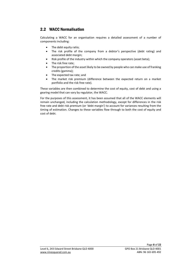### <span id="page-8-0"></span>2.2 WACC Normalisation

Calculating a WACC for an organisation requires a detailed assessment of a number of components including:

- The debt equity ratio;
- The risk profile of the company from a debtor's perspective (debt rating) and associated debt margin;
- Risk profile of the industry within which the company operators (asset beta);
- The risk free rate;
- The proportion of the asset likely to be owned by people who can make use of franking credits (gamma);
- The expected tax rate; and
- The market risk premium (difference between the expected return on a market portfolio and the risk free rate).

These variables are then combined to determine the cost of equity, cost of debt and using a gearing model that can vary by regulator, the WACC.

For the purposes of this assessment, it has been assumed that all of the WACC elements will remain unchanged, including the calculation methodology, except for differences in the risk free rate and debt risk premium (or 'debt margin') to account for variances resulting from the timing of estimation. Changes to these variables flow through to both the cost of equity and cost of debt.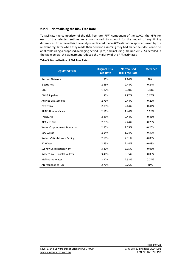### <span id="page-9-0"></span>2.2.1 Normalising the Risk Free Rate

To facilitate the comparison of the risk free rate (RFR) component of the WACC, the RFRs for each of the selected entities were 'normalised' to account for the impact of any timing differences. To achieve this, the analysis replicated the WACC estimation approach used by the relevant regulator when they made their decision assuming they had made their decision to be applicable using a proposed averaging period up to, and including, 30 June 2017. As detailed in the table below, this adjustment reduced the majority of the RFR estimates.

### **Table 3: Normalisation of Risk Free Rates**

| <b>Regulated firm</b>            | <b>Original Risk</b><br><b>Free Rate</b> | <b>Normalised</b><br><b>Risk Free Rate</b> | <b>Difference</b> |
|----------------------------------|------------------------------------------|--------------------------------------------|-------------------|
| <b>Aurizon Network</b>           | 1.90%                                    | 1.90%                                      | N/A               |
| ElectraNet                       | 2.68%                                    | 2.44%                                      | $-0.24%$          |
| <b>DBCT</b>                      | 1.82%                                    | 2.00%                                      | 0.18%             |
| <b>DBNG Pipeline</b>             | 1.80%                                    | 1.97%                                      | 0.17%             |
| <b>AusNet Gas Services</b>       | 2.73%                                    | 2.44%                                      | $-0.29%$          |
| Powerlink                        | 2.85%                                    | 2.44%                                      | $-0.41%$          |
| <b>ARTC- Hunter Valley</b>       | 2.12%                                    | 2.44%                                      | 0.32%             |
| TransGrid                        | 2.85%                                    | 2.44%                                      | $-0.41%$          |
| <b>APA VTS Gas</b>               | 2.73%                                    | 2.44%                                      | $-0.29%$          |
| Water Corp, Aqwest, Busselton    | 2.25%                                    | 2.05%                                      | $-0.20%$          |
| SEQ Water                        | 2.14%                                    | 1.78%                                      | $-0.37%$          |
| Water NSW - Murray Darling       | 2.60%                                    | 2.51%                                      | $-0.09%$          |
| <b>SA Water</b>                  | 2.53%                                    | 2.44%                                      | $-0.09%$          |
| <b>Sydney Desalination Plant</b> | 3.40%                                    | 3.35%                                      | $-0.05%$          |
| WaterNSW - Coastal Valleys       | 3.40%                                    | 3.35%                                      | $-0.05%$          |
| Melbourne Water                  | 2.92%                                    | 2.98%                                      | 0.07%             |
| AN response to DD                | 2.76%                                    | 2.76%                                      | N/A               |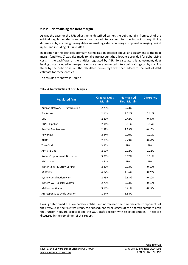### <span id="page-10-0"></span>2.2.2 Normalising the Debt Margin

As was the case for the RFR adjustments described earlier, the debt margins from each of the original regulatory decisions were 'normalised' to account for the impact of any timing differences by assuming the regulator was making a decision using a proposed averaging period up to, and including, 30 June 2017.

In addition to the debt risk premium normalisation detailed above, an adjustment to the debt margin (and WACC) was also made to take into account the allowance provided for debt raising costs in the cashflows of the entities regulated by AER. To calculate this adjustment, debt issuing costs included in the opex allowance were converted into a debt raising cost by dividing them by the debt on issue. The calculated percentage was then added to the cost of debt estimate for these entities.

The results are shown in [Table 4.](#page-10-1)

### <span id="page-10-1"></span>**Table 4: Normalisation of Debt Margins**

| <b>Regulated firm</b>            | <b>Original Debt</b><br><b>Margin</b> | <b>Normalised</b><br><b>Debt Margin</b> | <b>Difference</b> |
|----------------------------------|---------------------------------------|-----------------------------------------|-------------------|
| Aurizon Network - Draft Decision | 2.23%                                 | 2.23%                                   |                   |
| ElectraNet                       | 2.11%                                 | 2.22%                                   | 0.11%             |
| <b>DBCT</b>                      | 2.89%                                 | 2.42%                                   | $-0.47%$          |
| <b>DBNG Pipeline</b>             | 2.96%                                 | 3.01%                                   | 0.05%             |
| <b>AusNet Gas Services</b>       | 2.39%                                 | 2.29%                                   | $-0.10%$          |
| Powerlink                        | 2.24%                                 | 2.29%                                   | 0.05%             |
| <b>ARTC</b>                      | 2.85%                                 | 2.23%                                   | $-0.61%$          |
| TransGrid                        | 3.20%                                 | N/A                                     | N/A               |
| <b>APA VTS Gas</b>               | 2.00%                                 | 2.22%                                   | 0.22%             |
| Water Corp, Agwest, Busselton    | 3.00%                                 | 3.02%                                   | 0.01%             |
| SEQ Water                        | 3.41%                                 | N/A                                     | N/A               |
| Water NSW - Murray Darling       | 2.20%                                 | 2.03%                                   | $-0.17%$          |
| <b>SA Water</b>                  | 4.82%                                 | 4.56%                                   | $-0.26%$          |
| <b>Sydney Desalination Plant</b> | 2.73%                                 | 2.63%                                   | $-0.10%$          |
| WaterNSW - Coastal Valleys       | 2.73%                                 | 2.63%                                   | $-0.10%$          |
| Melbourne Water                  | 3.58%                                 | 3.41%                                   | $-0.17%$          |
| AN response to Draft Decision    | 1.84%                                 | 1.84%                                   |                   |

Having determined the comparator entities and normalised the time variable components of their WACCs in the first two steps, the subsequent three stages of the analysis compare both the Aurizon Network proposal and the QCA draft decision with selected entities. These are discussed in the remainder of this report.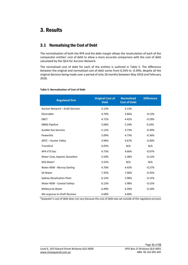# <span id="page-11-0"></span>3. Results

### <span id="page-11-1"></span>3.1 Normalising the Cost of Debt

The normalisation of both the RFR and the debt margin allows the recalculation of each of the comparator entities' cost of debt to allow a more accurate comparison with the cost of debt calculated by the QCA for Aurizon Network.

The normalised cost of debt for each of the entities is outlined in [Table 5.](#page-11-2) The difference between the original and normalised cost of debt varies from 0.24% to -0.39%, despite all the original decision being made over a period of only 18 months between May 2016 and February 2018.

| <b>Regulated firm</b>            | <b>Original Cost of</b><br><b>Debt</b> | <b>Normalised</b><br><b>Cost of Debt</b> | <b>Difference</b> |
|----------------------------------|----------------------------------------|------------------------------------------|-------------------|
| Aurizon Network - Draft Decision | 4.13%                                  | 4.13%                                    |                   |
| ElectraNet                       | 4.79%                                  | 4.66%                                    | $-0.13%$          |
| <b>DBCT</b>                      | 4.72%                                  | 4.42%                                    | $-0.29%$          |
| <b>DBNG Pipeline</b>             | 5.06%                                  | 5.29%                                    | 0.24%             |
| <b>AusNet Gas Services</b>       | 5.12%                                  | 4.73%                                    | $-0.39%$          |
| Powerlink                        | 5.09%                                  | 4.73%                                    | $-0.36%$          |
| ARTC - Hunter Valley             | 4.96%                                  | 4.67%                                    | $-0.30%$          |
| TransGrid                        | 6.05%                                  | N/A                                      | N/A               |
| <b>APA VTS Gas</b>               | 4.73%                                  | 4.66%                                    | $-0.07%$          |
| Water Corp, Agwest, Busselton    | 5.50%                                  | 5.38%                                    | $-0.12%$          |
| SEQ Water <sup>1</sup>           | 5.55%                                  | N/A                                      | N/A               |
| Water NSW - Murray Darling       | 4.70%                                  | 4.43%                                    | $-0.27%$          |
| <b>SA Water</b>                  | 7.35%                                  | 7.00%                                    | $-0.35%$          |
| <b>Sydney Desalination Plant</b> | 6.13%                                  | 5.98%                                    | $-0.15%$          |
| Water NSW - Coastal Valleys      | 6.13%                                  | 5.98%                                    | $-0.15%$          |
| Melbourne Water                  | 6.49%                                  | 6.39%                                    | $-0.10%$          |
| AN response to Draft Decision    | 4.60%                                  | 4.60%                                    |                   |

### <span id="page-11-2"></span>**Table 5: Normalisation of Cost of Debt**

<sup>1</sup>Seqwater's cost of debt does not vary because the cost of debt was set outside of the regulatory process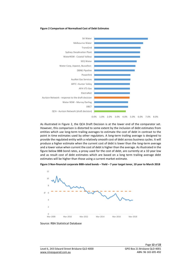#### <span id="page-12-0"></span>**Figure 2 Comparison of Normalised Cost of Debt Estimates**



As illustrated in [Figure 2,](#page-12-0) the QCA Draft Decision is at the lower end of the comparator set. However, this comparison is distorted to some extent by the inclusion of debt estimates from entities which use long-term trailing averages to estimate the cost of debt in contrast to the point in time estimates used by other regulators. A long-term trailing average is designed to provide the regulated entity with a relatively smooth cost of debt across business cycles. It will produce a higher estimate when the current cost of debt is lower than the long-term average and a lower value when current the cost of debt is higher than the average. As illustrated in the figure below BBB bond rates, a proxy used for the cost of debt, are currently at a 10 year low and as result cost of debt estimates which are based on a long term trailing average debt estimates will be higher than those using a current market estimate.

#### **Figure 3 Non-financial corporate BBB-rated bonds – Yield – 7 year target tenor, 10 year to March 2018**



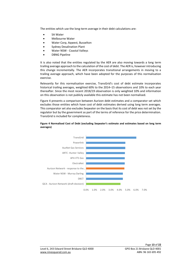The entities which use the long-term average in their debt calculations are:

- SA Water
- Melbourne Water
- Water Corp, Aqwest, Busselton
- Sydney Desalination Plant
- Water NSW Coastal Valleys
- DBNG Pipeline

It is also noted that the entities regulated by the AER are also moving towards a long term trailing average approach to the calculation of the cost of debt. The AER is, however introducing this change incrementally. The AER incorporates transitional arrangements in moving to a trailing average approach, which have been adopted for the purposes of this normalisation exercise.

Relevantly for this normalisation exercise, TransGrid's cost of debt estimate incorporates historical trailing averages, weighted 60% to the 2014–15 observations and 10% to each year thereafter. Since the most recent 2018/19 observation is only weighted 10% and information on this observation is not publicly available this estimate has not been normalised.

[Figure 4](#page-13-0) presents a comparison between Aurizon debt estimates and a comparator set which excludes those entities which have cost of debt estimates derived using long term averages. This comparator set also excludes Seqwater on the basis that its cost of debt was not set by the regulator but by the government as part of the terms of reference for the price determination. TransGrid is included for completeness.



### <span id="page-13-0"></span>**Figure 4 Normalised Cost of Debt (excluding Seqwater's estimate and estimates based on long term averages)**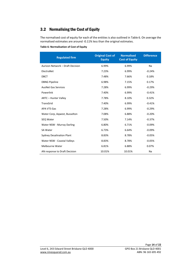## <span id="page-14-0"></span>3.2 Normalising the Cost of Equity

The normalised cost of equity for each of the entities is also outlined in [Table 6.](#page-14-1) On average the normalised estimates are around -0.11% less than the original estimates.

<span id="page-14-1"></span>**Table 6: Normalisation of Cost of Equity**

| <b>Regulated firm</b>            | <b>Original Cost of</b><br><b>Equity</b> | <b>Normalised</b><br><b>Cost of Equity</b> | <b>Difference</b> |
|----------------------------------|------------------------------------------|--------------------------------------------|-------------------|
| Aurizon Network - Draft Decision | 6.99%                                    | 6.99%                                      | Na                |
| ElectraNet                       | 7.23%                                    | 6.99%                                      | $-0.24%$          |
| <b>DBCT</b>                      | 7.48%                                    | 7.66%                                      | 0.18%             |
| <b>DBNG Pipeline</b>             | 6.98%                                    | 7.15%                                      | 0.17%             |
| <b>AusNet Gas Services</b>       | 7.28%                                    | 6.99%                                      | $-0.29%$          |
| Powerlink                        | 7.40%                                    | 6.99%                                      | $-0.41%$          |
| ARTC - Hunter Valley             | 7.78%                                    | 8.10%                                      | 0.32%             |
| TransGrid                        | 7.40%                                    | 6.99%                                      | $-0.41%$          |
| <b>APA VTS Gas</b>               | 7.28%                                    | 6.99%                                      | $-0.29%$          |
| Water Corp, Agwest, Busselton    | 7.08%                                    | 6.88%                                      | $-0.20%$          |
| SEQ Water                        | 7.50%                                    | 7.14%                                      | $-0.37%$          |
| Water NSW - Murray Darling       | 6.80%                                    | 6.71%                                      | $-0.09%$          |
| <b>SA Water</b>                  | 6.73%                                    | 6.64%                                      | $-0.09%$          |
| <b>Sydney Desalination Plant</b> | 8.83%                                    | 8.78%                                      | $-0.05%$          |
| Water NSW - Coastal Valleys      | 8.83%                                    | 8.78%                                      | $-0.05%$          |
| <b>Melbourne Water</b>           | 6.81%                                    | 6.88%                                      | 0.07%             |
| AN response to Draft Decision    | 10.01%                                   | 10.01%                                     | Na                |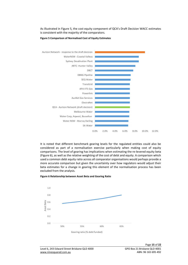As illustrated in [Figure 5,](#page-15-0) the cost equity component of QCA's Draft Decision WACC estimates is consistent with the majority of the comparators.



<span id="page-15-0"></span>**Figure 5 Comparison of Normalised Cost of Equity Estimates**

It is noted that different benchmark gearing levels for the regulated entities could also be considered as part of a normalisation exercise particularly when making cost of equity comparisons. The level of gearing has implications when estimating the re-levered equity beta [\(Figure 6\)](#page-15-1), as well as the relative weighting of the cost of debt and equity. A comparison which used a common debt equity ratio across all comparator organisations would perhaps provide a more accurate comparison but given the uncertainty over how regulators would adjust their beta estimates for a change in gearing this element of the normalisation process has been excluded from the analysis.

<span id="page-15-1"></span>

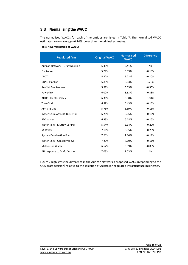# <span id="page-16-0"></span>3.3 Normalising the WACC

The normalised WACCs for each of the entities are listed in [Table 7.](#page-16-1) The normalised WACC estimates are on average -0.14% lower than the original estimates.

<span id="page-16-1"></span>**Table 7: Normalisation of WACCs**

| <b>Regulated firm</b>            | <b>Original WACC</b> | <b>Normalised</b><br><b>WACC</b> | <b>Difference</b> |
|----------------------------------|----------------------|----------------------------------|-------------------|
| Aurizon Network - Draft Decision | 5.41%                | 5.41%                            | Na                |
| ElectraNet                       | 5.77%                | 5.59%                            | $-0.18%$          |
| <b>DBCT</b>                      | 5.82%                | 5.72%                            | $-0.10%$          |
| <b>DBNG Pipeline</b>             | 5.83%                | 6.03%                            | 0.21%             |
| <b>AusNet Gas Services</b>       | 5.99%                | 5.63%                            | $-0.35%$          |
| Powerlink                        | 6.02%                | 5.63%                            | $-0.38%$          |
| ARTC - Hunter Valley             | 6.30%                | 6.30%                            | 0.00%             |
| TransGrid                        | 6.59%                | 6.43%                            | $-0.16%$          |
| <b>APA VTS Gas</b>               | 5.75%                | 5.59%                            | $-0.16%$          |
| Water Corp, Agwest, Busselton    | 6.21%                | 6.05%                            | $-0.16%$          |
| SEQ Water                        | 6.33%                | 6.18%                            | $-0.15%$          |
| Water NSW - Murray Darling       | 5.54%                | 5.34%                            | $-0.20%$          |
| <b>SA Water</b>                  | 7.10%                | 6.85%                            | $-0.25%$          |
| <b>Sydney Desalination Plant</b> | 7.21%                | 7.10%                            | $-0.11%$          |
| Water NSW - Coastal Valleys      | 7.21%                | 7.10%                            | $-0.11%$          |
| <b>Melbourne Water</b>           | 6.62%                | 6.59%                            | $-0.03%$          |
| AN response to Draft Decision    | 7.03%                | 7.03%                            | Na                |

[Figure 7](#page-17-0) highlights the difference in the Aurizon Network's proposed WACC (responding to the QCA draft decision) relative to the selection of Australian regulated infrastructure businesses.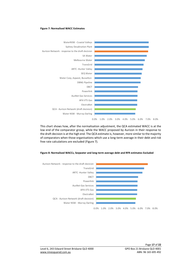#### <span id="page-17-0"></span>**Figure 7: Normalised WACC Estimates**



This chart shows how, after the normalisation adjustment, the QCA estimated WACC is at the low end of the comparator group, while the WACC proposed by Aurizon in their response to the draft decision is at the high end. The QCA estimate is, however, more similar to the majority of comparators when those organisations which use a long-term average in their debt and risk free rate calculations are excluded (Figure 7).

#### **Figure 8: Normalised WACCs, Seqwater and long-term average debt and RFR estimates Excluded**

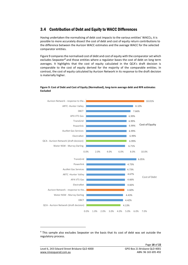### <span id="page-18-0"></span>3.4 Contribution of Debt and Equity to WACC Differences

Having undertaken the normalising of debt cost impacts to the various entities' WACCs, it is possible to more accurately dissect the cost of debt and cost of equity return contributions to the difference between the Aurizon WACC estimates and the average WACC for the selected comparator entities.

[Figure 9](#page-18-1) compares the normalised cost of debt and cost of equity with the comparator set which excludes Seqwater*<sup>4</sup>* and those entities where a regulator bases the cost of debt on long term averages. It highlights that the cost of equity calculated in the QCA's draft decision is comparable to the cost of equity derived for the majority of the comparable entities. In contrast, the cost of equity calculated by Aurizon Network in its response to the draft decision is materially higher.



### <span id="page-18-1"></span>**Figure 9: Cost of Debt and Cost of Equity (Normalised), long-term average debt and RFR estimates Excluded**

<sup>4</sup> This sample also excludes Seqwater on the basis that its cost of debt was set outside the regulatory process.

1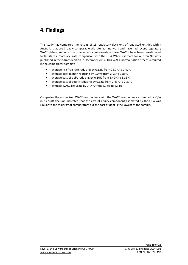# <span id="page-19-0"></span>4. Findings

This study has compared the results of 15 regulatory decisions of regulated entities within Australia that are broadly comparable with Aurizon network and have had recent regulatory WACC determinations. The time variant components of these WACCs have been re-estimated to facilitate a more accurate comparison with the QCA WACC estimate for Aurizon Network published in their draft decision in December 2017. This WACC normalisation process resulted in the comparator sample's

- average risk free rate reducing by 0.12% from 2.59% to 2.47%
- average debt margin reducing by 0.07% from 2.93 to 2.86%
- average cost of debt reducing by 0.16% from 5.49% to 5.33%
- average cost of equity reducing by 0.12% from 7.43% to 7.31%
- average WACC reducing by 0.14% from 6.28% to 6.14%

Comparing the normalised WACC components with the WACC components estimated by QCA in its draft decision indicated that the cost of equity component estimated by the QCA was similar to the majority of comparators but the cost of debt is the lowest of the sample.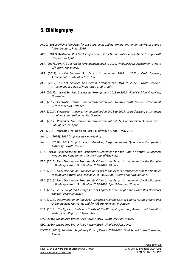# <span id="page-20-0"></span>5. Bibliography

- ACCC. (2011). *Pricing Principles for price approvals and determinations under the Water Charge (Infrastructure) Rules 2010.*
- ACCC. (2017). *Australian Rail Track Corporation's 2017 Hunter Valley Access Undertaking, Draft Decision, 20 April.*
- AER. (2017). *APA VTS Gas Access Arrangement 2018 to 2022, Final Decision, Attachment 3: Rate of Return, November.*
- AER. (2017). *AusNet Services Gas Access Arrangement 2018 to 2022 - Draft Decision, Attachment 3: Rate of Return, July.*
- AER. (2017). *AusNet Services Gas Access Arrangement 2018 to 2022 - Draft Decision, Attachment 4: Value of Imputation Credits, July.*
- AER. (2017). *AusNet Services Gas Access Arrangement 2018 to 2022 - Final Decision, Overview, November.*
- AER. (2017). *ElectraNet transmission determination 2018 to 2023, draft decision, attachment 3: rate of return, October.*
- AER. (2017). *ElectraNet transmission determination 2018 to 2023, draft decision, attachment 4: value of imputation credits: October.*
- AER. (2017). *Powerlink Transmission Determination 2017-2022, Final Decision, Attachment 3: Rate of Return, April.*
- AER (2018) TransGrid Final Decision Post Tax Revenue Model May 2018.
- Aurizon. (2016). *2017 Draft Access Undertaking.*
- Aurizon. (2018). *2017 Draft Access Undertaking Response to the Queensland Competition Authority's Draft Decision.*
- ERA. (2013). *Appendices to the Explanatory Statement for the Rate of Return Guidelines: Meeting the Requirements of the National Gas Rules.*
- ERA. (2016). *Final Decision on Proposed Revisions to the Access Arrangement for the Dampier to Bunbury Natural Gas Pipeline 2016-2020, 30 June.*
- ERA. (2016). *Final Decision on Proposed Revisions to the Access Arrangement for the Dampier to Bunbury Natural Gas Pipeline 2016-2020, App. 4 Rate of Return, 30 June.*
- ERA. (2016). *Final Decision on Proposed Revisions to the Access Arrangement for the Dampier to Bunbury Natural Gas Pipeline 2016-2020, App. 5 Gamma, 30 June.*
- ERA. (2017). *2017 Weighted Average Cost of Capital for the Freight and Urban Rail Networks and for Pilbara Railways.*
- ERA. (2017). *Determination on the 2017 Weighted Average Cost of Capital for the Freight and Urban Railway Networks, and for Pilbara Railways, 6 October.*
- ERA. (2017). *The Efficient Costs and Tariffs of the Water Corporation, Aqwest and Busselton Water, Final Report, 10 November.*
- ESC. (2016). *Melbourne Water Price Review 2016 - Draft Decision, March.*
- ESC. (2016). *Melbourne Water Price Review 2016 - Final Decision, June.*
- ESCOSA. (2015). *SA Water Regulatory Rate of Return 2016-2020, Final Report to the Treasurer, March.*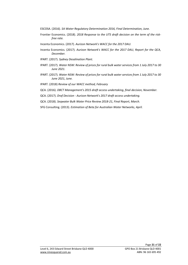- ESCOSA. (2016). *SA Water Regulatory Determination 2016, Final Determination, June.*
- Frontier Economics. (2018). *2018 Response to the UT5 draft decision on the term of the riskfree rate.*
- Incenta Economics. (2017). *Aurizon Network's WACC for the 2017 DAU.*
- Incenta Economics. (2017). *Aurizon Network's WACC for the 2017 DAU, Report for the QCA, December.*
- IPART. (2017). *Sydney Desalination Plant.*
- IPART. (2017). *Water NSW: Review of prices for rural bulk water services from 1 July 2017 to 30 June 2021.*
- IPART. (2017). *Water NSW: Review of prices for rural bulk water services from 1 July 2017 to 30 June 2021, June.*
- IPART. (2018) *Review of our WACC method, February*
- QCA. (2016). *DBCT Management's 2015 draft access undertaking, final decision, November.*
- QCA. (2017). *Draf Decision - Aurizon Network's 2017 draft access undertaking.*
- QCA. (2018). *Seqwater Bulk Water Price Review 2018-21, Final Report, March.*
- SFG Consulting. (2013). *Estimation of Beta for Australian Water Networks, April.*